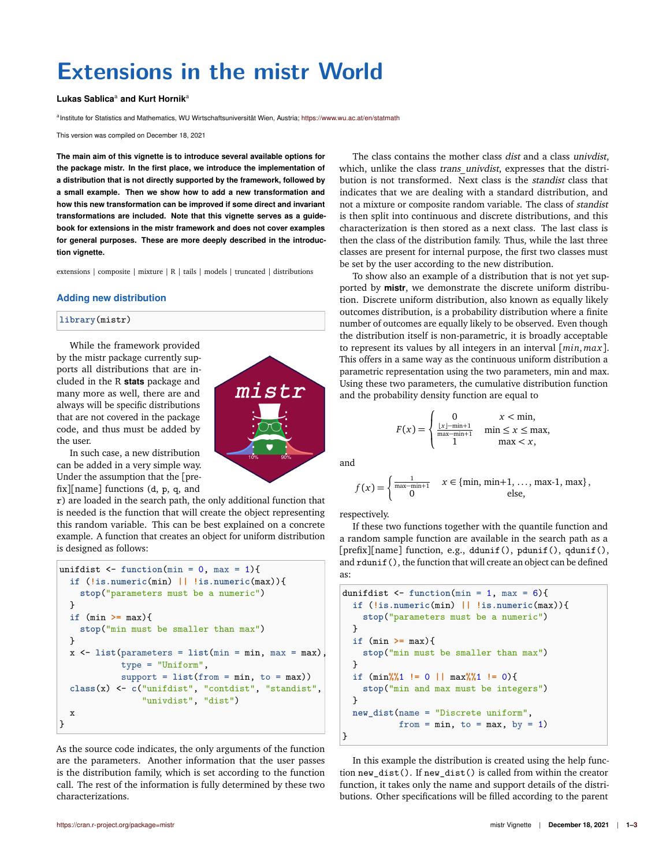# **Extensions in the mistr World**

## **Lukas Sablica**<sup>a</sup> **and Kurt Hornik**<sup>a</sup>

a Institute for Statistics and Mathematics, WU Wirtschaftsuniversität Wien, Austria; <https://www.wu.ac.at/en/statmath>

This version was compiled on December 18, 2021

**The main aim of this vignette is to introduce several available options for the package mistr. In the first place, we introduce the implementation of a distribution that is not directly supported by the framework, followed by a small example. Then we show how to add a new transformation and how this new transformation can be improved if some direct and invariant transformations are included. Note that this vignette serves as a guidebook for extensions in the mistr framework and does not cover examples for general purposes. These are more deeply described in the introduction vignette.**

extensions | composite | mixture | R | tails | models | truncated | distributions

#### **Adding new distribution**

### **library**(mistr)

While the framework provided by the mistr package currently supports all distributions that are included in the R **stats** package and many more as well, there are and always will be specific distributions that are not covered in the package code, and thus must be added by the user.

In such case, a new distribution can be added in a very simple way. Under the assumption that the [prefix][name] functions (d, p, q, and

r) are loaded in the search path, the only additional function that is needed is the function that will create the object representing this random variable. This can be best explained on a concrete example. A function that creates an object for uniform distribution is designed as follows:

```
unifdist \leftarrow function(min = 0, max = 1){
  if (!is.numeric(min) || !is.numeric(max)){
    stop("parameters must be a numeric")
  }
  if (min >= max){
    stop("min must be smaller than max")
  }
  x \leftarrow list(parameters = list(min = min, max = max)
             type = "Uniform",
             support = list(from = min, to = max))
  class(x) <- c("unifdist", "contdist", "standist",
                 "univdist", "dist")
  x
}
```
As the source code indicates, the only arguments of the function are the parameters. Another information that the user passes is the distribution family, which is set according to the function call. The rest of the information is fully determined by these two characterizations.

The class contains the mother class dist and a class univdist, which, unlike the class trans univdist, expresses that the distribution is not transformed. Next class is the standist class that indicates that we are dealing with a standard distribution, and not a mixture or composite random variable. The class of standist is then split into continuous and discrete distributions, and this characterization is then stored as a next class. The last class is then the class of the distribution family. Thus, while the last three classes are present for internal purpose, the first two classes must be set by the user according to the new distribution.

To show also an example of a distribution that is not yet supported by **mistr**, we demonstrate the discrete uniform distribution. Discrete uniform distribution, also known as equally likely outcomes distribution, is a probability distribution where a finite number of outcomes are equally likely to be observed. Even though the distribution itself is non-parametric, it is broadly acceptable to represent its values by all integers in an interval [*min*, *max*]. This offers in a same way as the continuous uniform distribution a parametric representation using the two parameters, min and max. Using these two parameters, the cumulative distribution function and the probability density function are equal to

$$
F(x) = \begin{cases} 0 & x < \min, \\ \frac{|x| - \min + 1}{\max - \min + 1} & \min \le x \le \max, \\ 1 & \max < x, \end{cases}
$$

and

mistr

$$
f(x) = \begin{cases} \frac{1}{\max-\min+1} & x \in \{\min, \min+1, \dots, \max-1, \max\}, \\ 0 & \text{else,} \end{cases}
$$

respectively.

If these two functions together with the quantile function and a random sample function are available in the search path as a [prefix][name] function, e.g., ddunif(), pdunif(), qdunif(), and rdunif(), the function that will create an object can be defined as:

```
dunifdist \leftarrow function(min = 1, max = 6){
  if (!is.numeric(min) || !is.numeric(max)){
    stop("parameters must be a numeric")
  }
  if (min >= max){
    stop("min must be smaller than max")
  }
  if (min%%1 != 0 || max%%1 != 0){
    stop("min and max must be integers")
  }
  new_dist(name = "Discrete uniform",
           from = min, to = max, by = 1)
}
```
In this example the distribution is created using the help function new\_dist(). If new\_dist() is called from within the creator function, it takes only the name and support details of the distributions. Other specifications will be filled according to the parent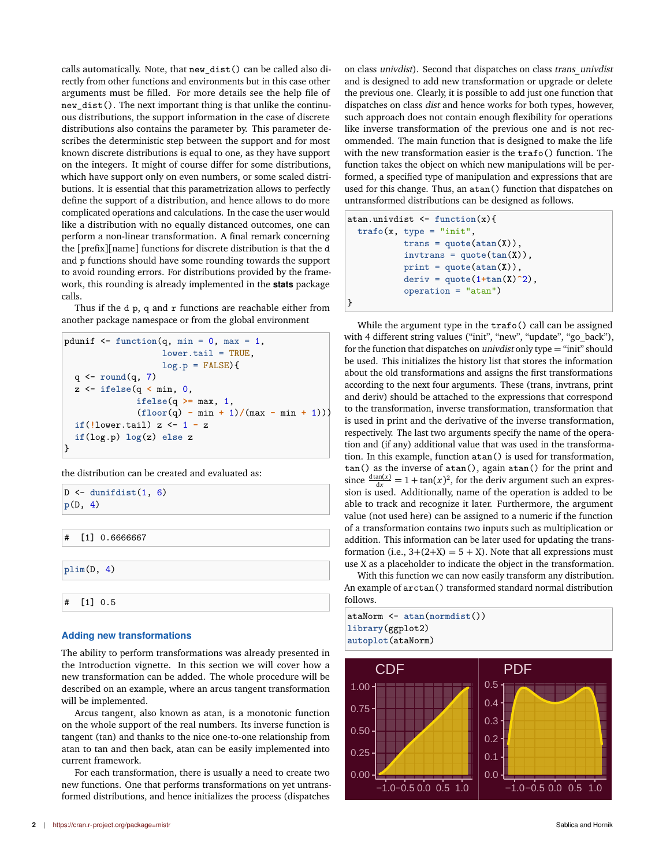calls automatically. Note, that new\_dist() can be called also directly from other functions and environments but in this case other arguments must be filled. For more details see the help file of new\_dist(). The next important thing is that unlike the continuous distributions, the support information in the case of discrete distributions also contains the parameter by. This parameter describes the deterministic step between the support and for most known discrete distributions is equal to one, as they have support on the integers. It might of course differ for some distributions, which have support only on even numbers, or some scaled distributions. It is essential that this parametrization allows to perfectly define the support of a distribution, and hence allows to do more complicated operations and calculations. In the case the user would like a distribution with no equally distanced outcomes, one can perform a non-linear transformation. A final remark concerning the [prefix][name] functions for discrete distribution is that the d and p functions should have some rounding towards the support to avoid rounding errors. For distributions provided by the framework, this rounding is already implemented in the **stats** package calls.

Thus if the  $d$  p, q and  $r$  functions are reachable either from another package namespace or from the global environment

```
pdunif \leq function(q, \text{min} = 0, \text{max} = 1,lower.tail = TRUE,log.p = FALSE {
  q <- round(q, 7)
  z <- ifelse(q < min, 0,
               ifelse(q >= max, 1,
               (floor(q) - min + 1)/(max - min + 1))if(!lower.tail) z <- 1 - z
  if(log.p) log(z) else z
}
```
the distribution can be created and evaluated as:

```
D <- dunifdist(1, 6)
p(D, 4)
# [1] 0.6666667
plim(D, 4)
# [1] 0.5
```
# **Adding new transformations**

The ability to perform transformations was already presented in the Introduction vignette. In this section we will cover how a new transformation can be added. The whole procedure will be described on an example, where an arcus tangent transformation will be implemented.

Arcus tangent, also known as atan, is a monotonic function on the whole support of the real numbers. Its inverse function is tangent (tan) and thanks to the nice one-to-one relationship from atan to tan and then back, atan can be easily implemented into current framework.

For each transformation, there is usually a need to create two new functions. One that performs transformations on yet untransformed distributions, and hence initializes the process (dispatches

on class univdist). Second that dispatches on class trans\_univdist and is designed to add new transformation or upgrade or delete the previous one. Clearly, it is possible to add just one function that dispatches on class dist and hence works for both types, however, such approach does not contain enough flexibility for operations like inverse transformation of the previous one and is not recommended. The main function that is designed to make the life with the new transformation easier is the trafo() function. The function takes the object on which new manipulations will be performed, a specified type of manipulation and expressions that are used for this change. Thus, an atan() function that dispatches on untransformed distributions can be designed as follows.

atan.univdist <- **function**(x){ **trafo**(x, type = "init", trans = **quote**(**atan**(X)), invtrans = **quote**(**tan**(X)), print = **quote**(**atan**(X)), deriv = **quote**(1**+tan**(X)**^**2), operation = "atan") }

While the argument type in the trafo() call can be assigned with 4 different string values ("init", "new", "update", "go\_back"), for the function that dispatches on *univdist* only type  $=$  "init" should be used. This initializes the history list that stores the information about the old transformations and assigns the first transformations according to the next four arguments. These (trans, invtrans, print and deriv) should be attached to the expressions that correspond to the transformation, inverse transformation, transformation that is used in print and the derivative of the inverse transformation, respectively. The last two arguments specify the name of the operation and (if any) additional value that was used in the transformation. In this example, function atan() is used for transformation, tan() as the inverse of atan(), again atan() for the print and since  $\frac{d \tan(x)}{dx} = 1 + \tan(x)^2$ , for the deriv argument such an expression is used. Additionally, name of the operation is added to be able to track and recognize it later. Furthermore, the argument value (not used here) can be assigned to a numeric if the function of a transformation contains two inputs such as multiplication or addition. This information can be later used for updating the transformation (i.e.,  $3+(2+X) = 5 + X$ ). Note that all expressions must use X as a placeholder to indicate the object in the transformation.

With this function we can now easily transform any distribution. An example of arctan() transformed standard normal distribution follows.